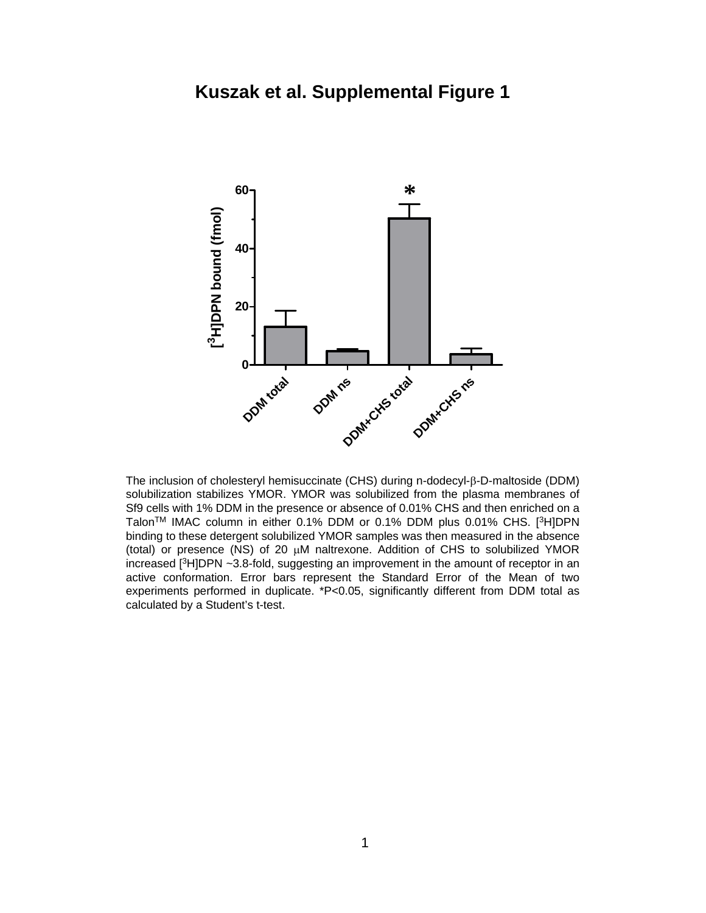

The inclusion of cholesteryl hemisuccinate (CHS) during n-dodecyl-β-D-maltoside (DDM) solubilization stabilizes YMOR. YMOR was solubilized from the plasma membranes of Sf9 cells with 1% DDM in the presence or absence of 0.01% CHS and then enriched on a TalonTM IMAC column in either 0.1% DDM or 0.1% DDM plus 0.01% CHS. [3H]DPN binding to these detergent solubilized YMOR samples was then measured in the absence (total) or presence (NS) of 20 µM naltrexone. Addition of CHS to solubilized YMOR increased [3H]DPN ~3.8-fold, suggesting an improvement in the amount of receptor in an active conformation. Error bars represent the Standard Error of the Mean of two experiments performed in duplicate. \*P<0.05, significantly different from DDM total as calculated by a Student's t-test.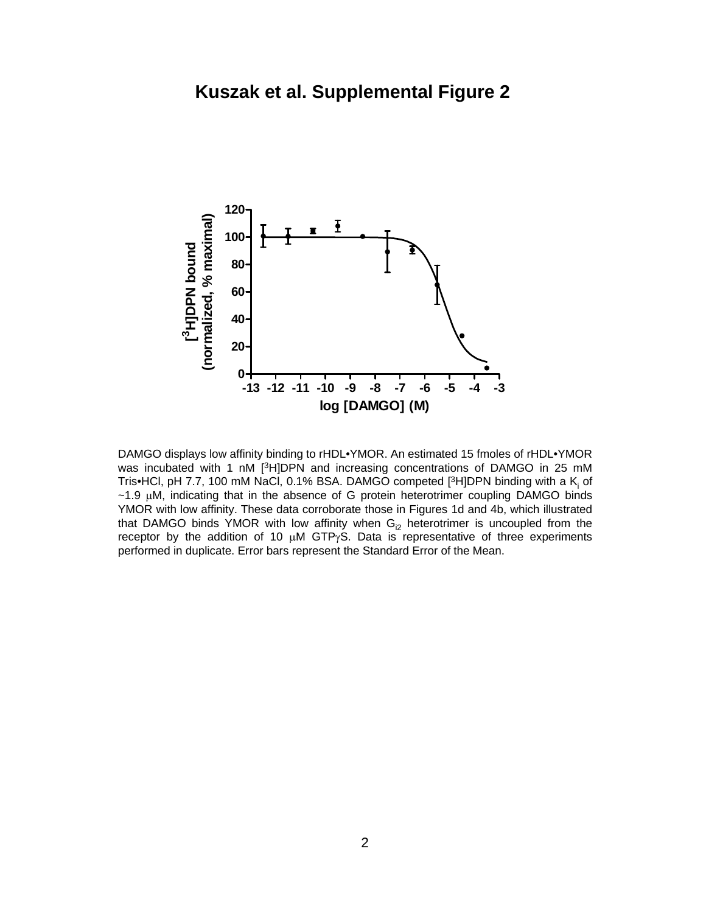

DAMGO displays low affinity binding to rHDL•YMOR. An estimated 15 fmoles of rHDL•YMOR was incubated with 1 nM [<sup>3</sup>H]DPN and increasing concentrations of DAMGO in 25 mM Tris•HCl, pH 7.7, 100 mM NaCl, 0.1% BSA. DAMGO competed  $[3H]$ DPN binding with a K<sub>i</sub> of  $\sim$ 1.9  $\mu$ M, indicating that in the absence of G protein heterotrimer coupling DAMGO binds YMOR with low affinity. These data corroborate those in Figures 1d and 4b, which illustrated that DAMGO binds YMOR with low affinity when  $G_{12}$  heterotrimer is uncoupled from the receptor by the addition of 10  $\mu$ M GTP $\gamma$ S. Data is representative of three experiments performed in duplicate. Error bars represent the Standard Error of the Mean.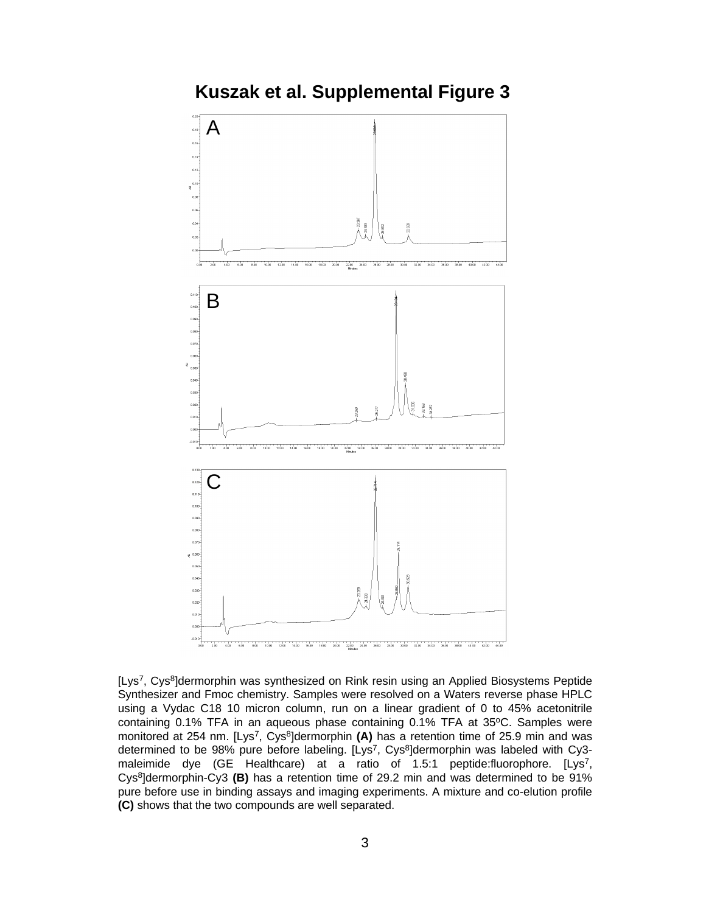**Kuszak et al. Supplemental Figure 3**



[Lys7, Cys8]dermorphin was synthesized on Rink resin using an Applied Biosystems Peptide Synthesizer and Fmoc chemistry. Samples were resolved on a Waters reverse phase HPLC using a Vydac C18 10 micron column, run on a linear gradient of 0 to 45% acetonitrile containing 0.1% TFA in an aqueous phase containing 0.1% TFA at 35°C. Samples were monitored at 254 nm. [Lys<sup>7</sup>, Cys<sup>8</sup>]dermorphin **(A)** has a retention time of 25.9 min and was determined to be 98% pure before labeling. [Lys<sup>7</sup>, Cys<sup>8</sup>]dermorphin was labeled with Cy3maleimide dye (GE Healthcare) at a ratio of 1.5:1 peptide:fluorophore. [Lys<sup>7</sup>, Cys8]dermorphin-Cy3 **(B)** has a retention time of 29.2 min and was determined to be 91% pure before use in binding assays and imaging experiments. A mixture and co-elution profile **(C)** shows that the two compounds are well separated.